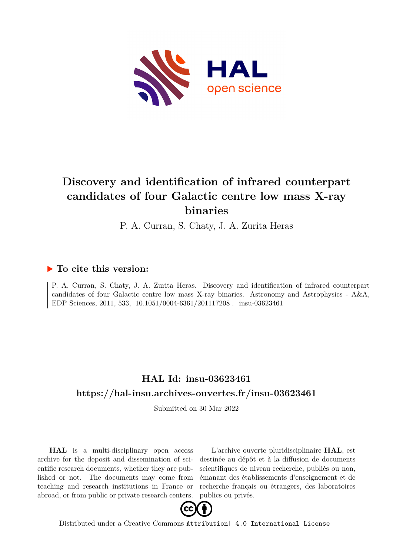

# **Discovery and identification of infrared counterpart candidates of four Galactic centre low mass X-ray binaries**

P. A. Curran, S. Chaty, J. A. Zurita Heras

### **To cite this version:**

P. A. Curran, S. Chaty, J. A. Zurita Heras. Discovery and identification of infrared counterpart candidates of four Galactic centre low mass X-ray binaries. Astronomy and Astrophysics - A&A, EDP Sciences, 2011, 533, 10.1051/0004-6361/201117208. insu-03623461

### **HAL Id: insu-03623461 <https://hal-insu.archives-ouvertes.fr/insu-03623461>**

Submitted on 30 Mar 2022

**HAL** is a multi-disciplinary open access archive for the deposit and dissemination of scientific research documents, whether they are published or not. The documents may come from teaching and research institutions in France or abroad, or from public or private research centers.

L'archive ouverte pluridisciplinaire **HAL**, est destinée au dépôt et à la diffusion de documents scientifiques de niveau recherche, publiés ou non, émanant des établissements d'enseignement et de recherche français ou étrangers, des laboratoires publics ou privés.



Distributed under a Creative Commons [Attribution| 4.0 International License](http://creativecommons.org/licenses/by/4.0/)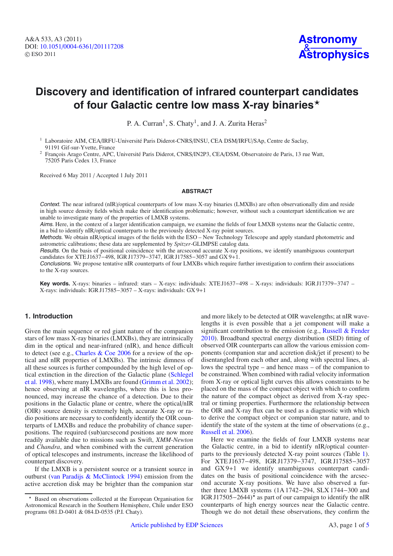## **Discovery and identification of infrared counterpart candidates** of four Galactic centre low mass X-ray binaries<sup>\*</sup>

P. A. Curran<sup>1</sup>, S. Chaty<sup>1</sup>, and J. A. Zurita Heras<sup>2</sup>

<sup>1</sup> Laboratoire AIM, CEA/IRFU-Université Paris Diderot-CNRS/INSU, CEA DSM/IRFU/SAp, Centre de Saclay, 91191 Gif-sur-Yvette, France

<sup>2</sup> François Arago Centre, APC, Université Paris Diderot, CNRS/IN2P3, CEA/DSM, Observatoire de Paris, 13 rue Watt, 75205 Paris Cedex 13, France

Received 6 May 2011 / Accepted 1 July 2011

#### **ABSTRACT**

Context. The near infrared (nIR)/optical counterparts of low mass X-ray binaries (LMXBs) are often observationally dim and reside in high source density fields which make their identification problematic; however, without such a counterpart identification we are unable to investigate many of the properties of LMXB systems.

Aims. Here, in the context of a larger identification campaign, we examine the fields of four LMXB systems near the Galactic centre, in a bid to identify nIR/optical counterparts to the previously detected X-ray point sources.

Methods. We obtain nIR/optical images of the fields with the ESO – New Technology Telescope and apply standard photometric and astrometric calibrations; these data are supplemented by *Spitzer*-GLIMPSE catalog data.

Results. On the basis of positional coincidence with the arcsecond accurate X-ray positions, we identify unambiguous counterpart candidates for XTE J1637−498, IGR J17379−3747, IGR J17585−3057 and GX 9+1.

Conclusions. We propose tentative nIR counterparts of four LMXBs which require further investigation to confirm their associations to the X-ray sources.

**Key words.** X-rays: binaries – infrared: stars – X-rays: individuals: XTE J1637−498 – X-rays: individuals: IGR J17379−3747 – X-rays: individuals: IGR J17585−3057 – X-rays: individuals: GX 9+1

#### **1. Introduction**

Given the main sequence or red giant nature of the companion stars of low mass X-ray binaries (LMXBs), they are intrinsically dim in the optical and near-infrared (nIR), and hence difficult to detect (see e.g., Charles & Coe 2006 for a review of the optical and nIR properties of LMXBs). The intrinsic dimness of all these sources is further compounded by the high level of optical extinction in the direction of the Galactic plane (Schlegel et al. 1998), where many LMXBs are found (Grimm et al. 2002); hence observing at nIR wavelengths, where this is less pronounced, may increase the chance of a detection. Due to their positions in the Galactic plane or centre, where the optical/nIR (OIR) source density is extremely high, accurate X-ray or radio positions are necessary to confidently identify the OIR counterparts of LMXBs and reduce the probability of chance superpositions. The required (sub)arcsecond positions are now more readily available due to missions such as Swift, *XMM-Newton* and *Chandra*, and when combined with the current generation of optical telescopes and instruments, increase the likelihood of counterpart discovery.

If the LMXB is a persistent source or a transient source in outburst (van Paradijs & McClintock 1994) emission from the active accretion disk may be brighter than the companion star and more likely to be detected at OIR wavelengths; at nIR wavelengths it is even possible that a jet component will make a significant contribution to the emission (e.g., Russell & Fender 2010). Broadband spectral energy distribution (SED) fitting of observed OIR counterparts can allow the various emission components (companion star and accretion disk/jet if present) to be disentangled from each other and, along with spectral lines, allows the spectral type – and hence mass – of the companion to be constrained. When combined with radial velocity information from X-ray or optical light curves this allows constraints to be placed on the mass of the compact object with which to confirm the nature of the compact object as derived from X-ray spectral or timing properties. Furthermore the relationship between the OIR and X-ray flux can be used as a diagnostic with which to derive the compact object or companion star nature, and to identify the state of the system at the time of observations (e.g., Russell et al. 2006).

Here we examine the fields of four LMXB systems near the Galactic centre, in a bid to identify nIR/optical counterparts to the previously detected X-ray point sources (Table 1). For XTE J1637−498, IGR J17379−3747, IGR J17585−3057 and GX 9+1 we identify unambiguous counterpart candidates on the basis of positional coincidence with the arcsecond accurate X-ray positions. We have also observed a further three LMXB systems (1A 1742−294, SLX 1744−300 and IGR J17505−2644)<sup>\*</sup> as part of our campaign to identify the nIR counterparts of high energy sources near the Galactic centre. Though we do not detail these observations, they confirm the

<sup>-</sup> Based on observations collected at the European Organisation for Astronomical Research in the Southern Hemisphere, Chile under ESO programs 081.D-0401 & 084.D-0535 (P.I. Chaty).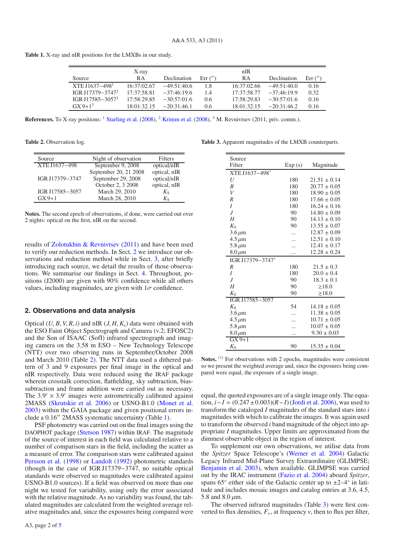**Table 1.** X-ray and nIR positions for the LMXBs in our study.

|                              | $X$ -ray    |               |         | nIR         |               |         |
|------------------------------|-------------|---------------|---------|-------------|---------------|---------|
| Source                       | <b>RA</b>   | Declination   | Err('') | RA          | Declination   | Err('') |
| $XTEJ1637-4981$              | 16:37:02.67 | $-49:51:40.6$ | 1.8     | 16:37:02.66 | $-49:51:40.0$ | 0.16    |
| IGR J17379-3747 <sup>2</sup> | 17:37:58.81 | $-37:46:19.6$ | 1.4     | 17:37:58.77 | $-37:46:19.9$ | 0.32    |
| IGR J17585-3057 <sup>3</sup> | 17:58:29.85 | $-30:57:01.6$ | 0.6     | 17:58:29.83 | $-30:57:01.6$ | 0.16    |
| $GX 9+1^3$                   | 18:01:32.15 | $-20:31:46.1$ | 0.6     | 18:01:32.15 | $-20:31:46.2$ | 0.16    |

**References.** To X-ray positions: <sup>1</sup> Starling et al. (2008), <sup>2</sup> Krimm et al. (2008), <sup>3</sup> M. Revnivtsev (2011, priv. comm.).

**Table 2.** Observation log.

| Source          | Night of observation  | Filters      |
|-----------------|-----------------------|--------------|
| XTE J1637-498   | September 9, 2008     | optical/nIR  |
|                 | September 20, 21 2008 | optical, nIR |
| IGR J17379-3747 | September 29, 2008    | optical/nIR  |
|                 | October 2, 3 2008     | optical, nIR |
| IGR J17585-3057 | March 29, 2010        | $K_{S}$      |
| $GX9+1$         | March 28, 2010        | Κs           |

**Notes.** The second epoch of observations, if done, were carried out over 2 nights: optical on the first, nIR on the second.

results of Zolotukhin & Revnivtsev (2011) and have been used to verify our reduction methods. In Sect. 2 we introduce our observations and reduction method while in Sect. 3, after briefly introducing each source, we detail the results of those observations. We summarise our findings in Sect. 4. Throughout, positions (J2000) are given with 90% confidence while all others values, including magnitudes, are given with  $1\sigma$  confidence.

#### **2. Observations and data analysis**

Optical  $(U, B, V, R, i)$  and nIR  $(J, H, K_s)$  data were obtained with the ESO Faint Object Spectrograph and Camera (v.2; EFOSC2) and the Son of ISAAC (SofI) infrared spectrograph and imaging camera on the 3.58 m ESO – New Technology Telescope (NTT) over two observing runs in September/October 2008 and March 2010 (Table 2). The NTT data used a dithered pattern of 3 and 9 exposures per final image in the optical and nIR respectively. Data were reduced using the IRAF package wherein crosstalk correction, flatfielding, sky subtraction, biassubtraction and frame addition were carried out as necessary. The  $3.9' \times 3.9'$  images were astrometrically calibrated against 2MASS (Skrutskie et al. 2006) or USNO-B1.0 (Monet et al. 2003) within the GAIA package and given positional errors include a 0.16" 2MASS systematic uncertainty (Table 1).

PSF photometry was carried out on the final images using the DAOPHOT package (Stetson 1987) within IRAF. The magnitude of the source of interest in each field was calculated relative to a number of comparison stars in the field, including the scatter as a measure of error. The comparison stars were calibrated against Persson et al. (1998) or Landolt (1992) photometric standards (though in the case of IGR J17379−3747, no suitable optical standards were observed so magnitudes were calibrated against USNO-B1.0 sources). If a field was observed on more than one night we tested for variability, using only the error associated with the relative magnitude. As no variability was found, the tabulated magnitudes are calculated from the weighted average relative magnitudes and, since the exposures being compared were

| Table 3. Apparent magnitudes of the LMXB counterparts. |  |  |  |  |
|--------------------------------------------------------|--|--|--|--|
|--------------------------------------------------------|--|--|--|--|

| Source                       |        |                  |
|------------------------------|--------|------------------|
| Filter                       | Exp(s) | Magnitude        |
| XTE J1637-498 <sup>†</sup>   |        |                  |
| U                            | 180    | $21.51 \pm 0.14$ |
| B                            | 180    | $20.77 \pm 0.05$ |
| V                            | 180    | $18.90 \pm 0.05$ |
| R                            | 180    | $17.66 \pm 0.05$ |
| $\overline{I}$               | 180    | $16.24 \pm 0.16$ |
| $\overline{J}$               | 90     | $14.80 \pm 0.09$ |
| H                            | 90     | $14.13 \pm 0.10$ |
| $K_{\rm S}$                  | 90     | $13.55 \pm 0.07$ |
| $3.6 \,\mu m$                | .      | $12.87 \pm 0.09$ |
| $4.5 \,\mu m$                |        | $12.51 \pm 0.10$ |
| $5.8 \,\mu m$                |        | $12.41 \pm 0.17$ |
| $8.0 \,\mu m$                | .      | $12.28 \pm 0.24$ |
| IGR J17379-3747 <sup>†</sup> |        |                  |
| $\boldsymbol{R}$             | 180    | $21.5 \pm 0.3$   |
| I                            | 180    | $20.0 \pm 0.4$   |
| $\overline{J}$               | 90     | $18.3 \pm 0.1$   |
| H                            | 90     | >18.0            |
| $K_{S}$                      | 90     | >18.0            |
| IGR J17585-3057              |        |                  |
| $K_{S}$                      | 54     | $14.18 \pm 0.05$ |
| $3.6 \,\mu m$                |        | $11.38 \pm 0.05$ |
| $4.5 \,\mu m$                |        | $10.71 \pm 0.05$ |
| $5.8 \,\mu m$                |        | $10.07 \pm 0.05$ |
| $8.0 \,\mu m$                | .      | $9.30 \pm 0.03$  |
| $GX9+1$                      |        |                  |
| $K_{\rm S}$                  | 90     | $15.35 \pm 0.04$ |

**Notes.** (†) For observations with 2 epochs, magnitudes were consistent so we present the weighted average and, since the exposures being compared were equal, the exposure of a single image.

equal, the quoted exposures are of a single image only. The equation,  $i-I = (0.247 \pm 0.003)(R-I)$  (Jordi et al. 2006), was used to transform the cataloged *I* magnitudes of the standard stars into *i* magnitudes with which to calibrate the images. It was again used to transform the observed *i* band magnitude of the object into appropriate *I* magnitudes. Upper limits are approximated from the dimmest observable object in the region of interest.

To supplement our own observations, we utilise data from the *Spitzer* Space Telescope's (Werner et al. 2004) Galactic Legacy Infrared Mid-Plane Survey Extraordinaire (GLIMPSE; Benjamin et al. 2003), when available. GLIMPSE was carried out by the IRAC instrument (Fazio et al. 2004) aboard *Spitzer*, spans  $65^\circ$  either side of the Galactic center up to  $\pm 2-4^\circ$  in latitude and includes mosaic images and catalog entries at 3.6, 4.5, 5.8 and 8.0  $\mu$ m.

The observed infrared magnitudes (Table 3) were first converted to flux densities,  $F_v$ , at frequency  $v$ , then to flux per filter,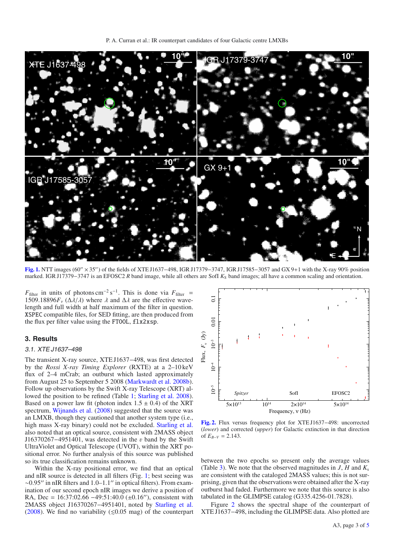

**[Fig. 1.](http://dexter.edpsciences.org/applet.php?DOI=10.1051/0004-6361/201117208&pdf_id=1)** NTT images (60" × 35") of the fields of XTE J1637–498, IGR J17379–3747, IGR J17585–3057 and GX 9+1 with the X-ray 90% position marked. IGR J17379−3747 is an EFOSC2 *R* band image, while all others are SofI  $K<sub>S</sub>$  band images; all have a common scaling and orientation.

 $F_{\text{filter}}$  in units of photons cm<sup>-2</sup> s<sup>-1</sup>. This is done via  $F_{\text{filter}}$  = 1509.18896 $F_v$  ( $\Delta \lambda/\lambda$ ) where  $\lambda$  and  $\Delta \lambda$  are the effective wavelength and full width at half maximum of the filter in question. XSPEC compatible files, for SED fitting, are then produced from the flux per filter value using the FTOOL, flx2xsp.

#### **3. Results**

#### 3.1. XTE J1637–498

The transient X-ray source, XTE J1637−498, was first detected by the *Rossi X-ray Timing Explorer* (RXTE) at a 2–10 keV flux of 2–4 mCrab; an outburst which lasted approximately from August 25 to September 5 2008 (Markwardt et al. 2008b). Follow up observations by the Swift X-ray Telescope (XRT) allowed the position to be refined (Table 1; Starling et al. 2008). Based on a power law fit (photon index  $1.5 \pm 0.4$ ) of the XRT spectrum, Wijnands et al. (2008) suggested that the source was an LMXB, though they cautioned that another system type (i.e., high mass X-ray binary) could not be excluded. Starling et al. also noted that an optical source, consistent with 2MASS object J16370267−4951401, was detected in the v band by the Swift UltraViolet and Optical Telescope (UVOT), within the XRT positional error. No further analysis of this source was published so its true classification remains unknown.

Within the X-ray positional error, we find that an optical and nIR source is detected in all filters (Fig. 1; best seeing was  $\sim$ 0.95" in nIR filters and 1.0–1.1" in optical filters). From examination of our second epoch nIR images we derive a position of RA, Dec =  $16:37:02.66 - 49:51:40.0 \ (\pm 0.16)$ , consistent with 2MASS object J16370267−4951401, noted by Starling et al. (2008). We find no variability ( $\leq 0.05$  mag) of the counterpart



**[Fig. 2.](http://dexter.edpsciences.org/applet.php?DOI=10.1051/0004-6361/201117208&pdf_id=2)** Flux versus frequency plot for XTE J1637−498: uncorrected (*lower*) and corrected (*upper*) for Galactic extinction in that direction of  $E_{B-V} = 2.143$ .

between the two epochs so present only the average values (Table 3). We note that the observed magnitudes in  $J$ ,  $H$  and  $K_s$ are consistent with the cataloged 2MASS values; this is not surprising, given that the observations were obtained after the X-ray outburst had faded. Furthermore we note that this source is also tabulated in the GLIMPSE catalog (G335.4256-01.7828).

Figure 2 shows the spectral shape of the counterpart of XTE J1637−498, including the GLIMPSE data. Also plotted are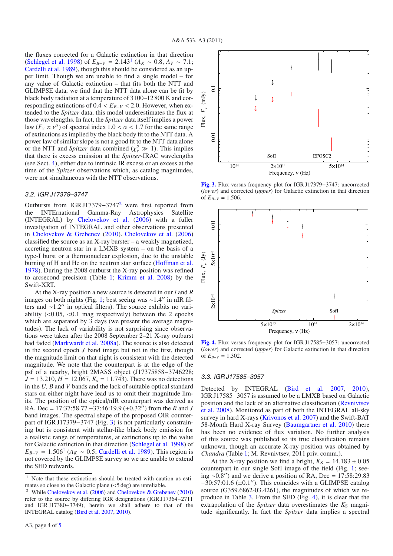the fluxes corrected for a Galactic extinction in that direction (Schlegel et al. 1998) of  $E_{B-V} = 2.143^{1}$  ( $A_K \sim 0.8$ ,  $A_V \sim 7.1$ ; Cardelli et al. 1989), though this should be considered as an upper limit. Though we are unable to find a single model – for any value of Galactic extinction – that fits both the NTT and GLIMPSE data, we find that the NTT data alone can be fit by black body radiation at a temperature of 3100–12 800 K and corresponding extinctions of  $0.4 < E_{B-V} < 2.0$ . However, when extended to the *Spitzer* data, this model underestimates the flux at those wavelengths. In fact, the *Spitzer* data itself implies a power law  $(F_v \propto v^{\alpha})$  of spectral index  $1.0 < \alpha < 1.7$  for the same range of extinctions as implied by the black body fit to the NTT data. A power law of similar slope is not a good fit to the NTT data alone or the NTT and *Spitzer* data combined  $(\chi^2_{\nu} \gg 1)$ . This implies that there is excess emission at the *Spitzer*-IRAC wavelengths (see Sect. 4), either due to intrinsic IR excess or an excess at the time of the *Spitzer* observations which, as catalog magnitudes, were not simultaneous with the NTT observations.

#### 3.2. IGR J17379–3747

Outbursts from IGR J17379−3747<sup>2</sup> were first reported from INTErnational Gamma-Ray (INTEGRAL) by Chelovekov et al. (2006) with a fuller investigation of INTEGRAL and other observations presented in Chelovekov & Grebenev (2010). Chelovekov et al. (2006) classified the source as an X-ray burster – a weakly magnetized, accreting neutron star in a LMXB system – on the basis of a type-I burst or a thermonuclear explosion, due to the unstable burning of H and He on the neutron star surface (Hoffman et al. 1978). During the 2008 outburst the X-ray position was refined to arcsecond precision (Table 1; Krimm et al. 2008) by the Swift-XRT.

At the X-ray position a new source is detected in our *i* and *R* images on both nights (Fig. 1; best seeing was  $\sim$ 1.4" in nIR filters and ~1.2" in optical filters). The source exhibits no variability  $(<0.05, <0.1$  mag respectively) between the 2 epochs which are separated by 3 days (we present the average magnitudes). The lack of variability is not surprising since observations were taken after the 2008 September 2–21 X-ray outburst had faded (Markwardt et al. 2008a). The source is also detected in the second epoch *J* band image but not in the first, though the magnitude limit on that night is consistent with the detected magnitude. We note that the counterpart is at the edge of the psf of a nearby, bright 2MASS object (J17375858−3746228;  $J = 13.210, H = 12.067, K_s = 11.743$ . There was no detections in the *U*, *B* and *V* bands and the lack of suitable optical standard stars on either night have lead us to omit their magnitude limits. The position of the optical/nIR counterpart was derived as RA, Dec = 17:37:58.77 −37:46:19.9 (±0.32) from the *R* and *J* band images. The spectral shape of the proposed OIR counterpart of IGR J17379−3747 (Fig. 3) is not particularly constraining but is consistent with stellar-like black body emission for a realistic range of temperatures, at extinctions up to the value for Galactic extinction in that direction (Schlegel et al. 1998) of  $E_{B-V} = 1.506^{1}$  (*A<sub>K</sub>* ~ 0.5; Cardelli et al. 1989). This region is not covered by the GLIMPSE survey so we are unable to extend the SED redwards.



**[Fig. 3.](http://dexter.edpsciences.org/applet.php?DOI=10.1051/0004-6361/201117208&pdf_id=3)** Flux versus frequency plot for IGR J17379−3747: uncorrected (*lower*) and corrected (*upper*) for Galactic extinction in that direction of  $E_{B-V} = 1.506$ .



**[Fig. 4.](http://dexter.edpsciences.org/applet.php?DOI=10.1051/0004-6361/201117208&pdf_id=4)** Flux versus frequency plot for IGR J17585−3057: uncorrected (*lower*) and corrected (*upper*) for Galactic extinction in that direction of  $E_{B-V} = 1.302$ .

#### 3.3. IGR J17585–3057

Detected by INTEGRAL (Bird et al. 2007, 2010), IGR J17585−3057 is assumed to be a LMXB based on Galactic position and the lack of an alternative classification (Revnivtsev et al. 2008). Monitored as part of both the INTEGRAL all-sky survey in hard X-rays (Krivonos et al. 2007) and the Swift-BAT 58-Month Hard X-ray Survey (Baumgartner et al. 2010) there has been no evidence of flux variation. No further analysis of this source was published so its true classification remains unknown, though an accurate X-ray position was obtained by *Chandra* (Table 1; M. Revnivtsev, 2011 priv. comm.).

At the X-ray position we find a bright,  $K_S = 14.183 \pm 0.05$ counterpart in our single SofI image of the field (Fig. 1; seeing ∼0.8") and we derive a position of RA, Dec = 17:58:29.83  $-30:57:01.6$  ( $\pm 0.1$ "). This coincides with a GLIMPSE catalog source (G359.6862-03.4261), the magnitudes of which we reproduce in Table 3. From the SED (Fig. 4), it is clear that the extrapolation of the *Spitzer* data overestimates the  $K<sub>S</sub>$  magnitude significantly. In fact the *Spitzer* data implies a spectral

<sup>1</sup> Note that these extinctions should be treated with caution as estimates so close to the Galactic plane (<5 deg) are unreliable.

<sup>&</sup>lt;sup>2</sup> While Chelovekov et al. (2006) and Chelovekov & Grebenev (2010) refer to the source by differing IGR designations (IGR J17364−2711 and IGR J17380−3749), herein we shall adhere to that of the INTEGRAL catalog (Bird et al. 2007, 2010).